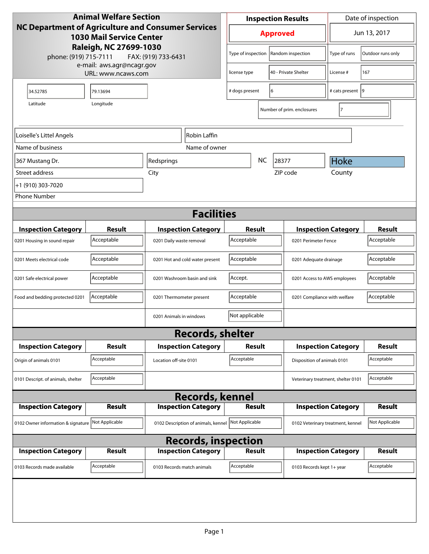| <b>Animal Welfare Section</b><br><b>NC Department of Agriculture and Consumer Services</b><br><b>1030 Mail Service Center</b><br>Raleigh, NC 27699-1030<br>phone: (919) 715-7111<br>FAX: (919) 733-6431 |                                                 |                                     | <b>Inspection Results</b>                  |                             |                                    | Date of inspection         |                |  |
|---------------------------------------------------------------------------------------------------------------------------------------------------------------------------------------------------------|-------------------------------------------------|-------------------------------------|--------------------------------------------|-----------------------------|------------------------------------|----------------------------|----------------|--|
|                                                                                                                                                                                                         |                                                 |                                     | <b>Approved</b>                            |                             |                                    | Jun 13, 2017               |                |  |
|                                                                                                                                                                                                         |                                                 |                                     | Type of inspection   Random inspection     |                             | Type of runs                       | Outdoor runs only          |                |  |
|                                                                                                                                                                                                         | e-mail: aws.agr@ncagr.gov<br>URL: www.ncaws.com |                                     | license type                               |                             | 40 - Private Shelter               | License #                  | 167            |  |
| 34.52785                                                                                                                                                                                                | 79.13694                                        |                                     | # dogs present<br>6                        |                             | # cats present 9                   |                            |                |  |
| Latitude                                                                                                                                                                                                | Longitude                                       |                                     |                                            |                             | Number of prim. enclosures         | 7                          |                |  |
| Loiselle's Littel Angels<br>Robin Laffin                                                                                                                                                                |                                                 |                                     |                                            |                             |                                    |                            |                |  |
| Name of business                                                                                                                                                                                        |                                                 | Name of owner                       |                                            |                             |                                    |                            |                |  |
| 367 Mustang Dr.                                                                                                                                                                                         |                                                 | Redsprings                          | <b>NC</b><br>28377                         |                             |                                    | Hoke                       |                |  |
| Street address                                                                                                                                                                                          |                                                 | City                                |                                            |                             | ZIP code                           | County                     |                |  |
| +1 (910) 303-7020                                                                                                                                                                                       |                                                 |                                     |                                            |                             |                                    |                            |                |  |
| <b>Phone Number</b>                                                                                                                                                                                     |                                                 |                                     |                                            |                             |                                    |                            |                |  |
| <b>Facilities</b>                                                                                                                                                                                       |                                                 |                                     |                                            |                             |                                    |                            |                |  |
|                                                                                                                                                                                                         |                                                 |                                     |                                            |                             |                                    |                            |                |  |
| <b>Inspection Category</b>                                                                                                                                                                              | <b>Result</b>                                   | <b>Inspection Category</b>          | Result                                     |                             |                                    | <b>Inspection Category</b> | <b>Result</b>  |  |
| 0201 Housing in sound repair                                                                                                                                                                            | Acceptable                                      | 0201 Daily waste removal            | Acceptable<br>0201 Perimeter Fence         |                             |                                    | Acceptable                 |                |  |
| 0201 Meets electrical code                                                                                                                                                                              | Acceptable                                      | 0201 Hot and cold water present     | Acceptable<br>0201 Adequate drainage       |                             |                                    | Acceptable                 |                |  |
| 0201 Safe electrical power                                                                                                                                                                              | Acceptable                                      | 0201 Washroom basin and sink        | Accept.                                    |                             | 0201 Access to AWS employees       |                            | Acceptable     |  |
| Food and bedding protected 0201                                                                                                                                                                         | Acceptable                                      | 0201 Thermometer present            | Acceptable<br>0201 Compliance with welfare |                             |                                    | Acceptable                 |                |  |
|                                                                                                                                                                                                         |                                                 | 0201 Animals in windows             | Not applicable                             |                             |                                    |                            |                |  |
|                                                                                                                                                                                                         |                                                 | <b>Records, shelter</b>             |                                            |                             |                                    |                            |                |  |
| <b>Inspection Category</b>                                                                                                                                                                              | Result                                          | <b>Inspection Category</b>          | Result                                     |                             |                                    | <b>Inspection Category</b> | Result         |  |
| Origin of animals 0101                                                                                                                                                                                  | Acceptable                                      | Location off-site 0101              | Acceptable                                 | Disposition of animals 0101 |                                    |                            | Acceptable     |  |
| 0101 Descript. of animals, shelter                                                                                                                                                                      | Acceptable                                      |                                     |                                            |                             | Veterinary treatment, shelter 0101 |                            | Acceptable     |  |
|                                                                                                                                                                                                         |                                                 | <b>Records, kennel</b>              |                                            |                             |                                    |                            |                |  |
| <b>Inspection Category</b>                                                                                                                                                                              | <b>Result</b>                                   | <b>Inspection Category</b>          | <b>Result</b>                              |                             |                                    | <b>Inspection Category</b> | <b>Result</b>  |  |
| 0102 Owner information & signature                                                                                                                                                                      | Not Applicable                                  | 0102 Description of animals, kennel | Not Applicable                             |                             | 0102 Veterinary treatment, kennel  |                            | Not Applicable |  |
| <b>Records, inspection</b>                                                                                                                                                                              |                                                 |                                     |                                            |                             |                                    |                            |                |  |
| <b>Inspection Category</b>                                                                                                                                                                              | <b>Result</b>                                   | <b>Inspection Category</b>          | <b>Result</b>                              |                             |                                    | <b>Inspection Category</b> | <b>Result</b>  |  |
| 0103 Records made available                                                                                                                                                                             | Acceptable                                      | 0103 Records match animals          | Acceptable                                 |                             | 0103 Records kept 1+ year          |                            | Acceptable     |  |
|                                                                                                                                                                                                         |                                                 |                                     |                                            |                             |                                    |                            |                |  |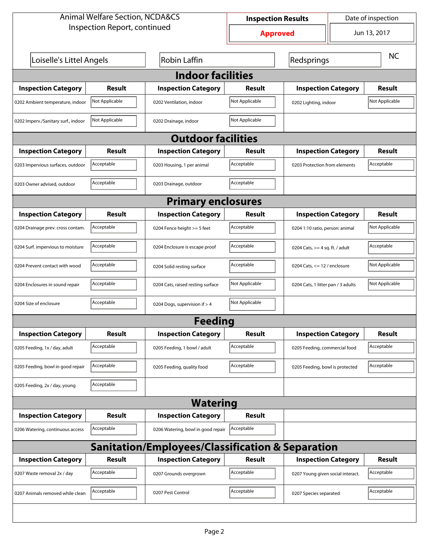| <b>Animal Welfare Section, NCDA&amp;CS</b>       |                |                                    | Date of inspection<br><b>Inspection Results</b> |                                    |  |                |  |  |
|--------------------------------------------------|----------------|------------------------------------|-------------------------------------------------|------------------------------------|--|----------------|--|--|
| Inspection Report, continued                     |                |                                    | Jun 13, 2017<br><b>Approved</b>                 |                                    |  |                |  |  |
| Loiselle's Littel Angels                         |                | <b>Robin Laffin</b>                |                                                 | Redsprings                         |  | <b>NC</b>      |  |  |
| <b>Indoor facilities</b>                         |                |                                    |                                                 |                                    |  |                |  |  |
| <b>Inspection Category</b>                       | Result         | <b>Inspection Category</b>         | Result                                          | <b>Inspection Category</b>         |  | Result         |  |  |
| 0202 Ambient temperature, indoor                 | Not Applicable | 0202 Ventilation, indoor           | Not Applicable                                  | 0202 Lighting, indoor              |  | Not Applicable |  |  |
| 0202 Imperv./Sanitary surf., indoor              | Not Applicable | 0202 Drainage, indoor              | Not Applicable                                  |                                    |  |                |  |  |
|                                                  |                | <b>Outdoor facilities</b>          |                                                 |                                    |  |                |  |  |
| <b>Inspection Category</b>                       | Result         | <b>Inspection Category</b>         | Result                                          | <b>Inspection Category</b>         |  | Result         |  |  |
| 0203 Impervious surfaces, outdoor                | Acceptable     | 0203 Housing, 1 per animal         | Acceptable                                      | 0203 Protection from elements      |  | Acceptable     |  |  |
| 0203 Owner advised, outdoor                      | Acceptable     | 0203 Drainage, outdoor             | Acceptable                                      |                                    |  |                |  |  |
| <b>Primary enclosures</b>                        |                |                                    |                                                 |                                    |  |                |  |  |
| <b>Inspection Category</b>                       | Result         | <b>Inspection Category</b>         | Result                                          | <b>Inspection Category</b>         |  | Result         |  |  |
| 0204 Drainage prev. cross contam.                | Acceptable     | 0204 Fence height >= 5 feet        | Acceptable                                      | 0204 1:10 ratio, person: animal    |  | Not Applicable |  |  |
| 0204 Surf. impervious to moisture                | Acceptable     | 0204 Enclosure is escape proof     | Acceptable                                      | 0204 Cats, $>=$ 4 sq. ft. / adult  |  | Acceptable     |  |  |
| 0204 Prevent contact with wood                   | Acceptable     | 0204 Solid resting surface         | Acceptable                                      | 0204 Cats, $\le$ 12 / enclosure    |  | Not Applicable |  |  |
| 0204 Enclosures in sound repair                  | Acceptable     | 0204 Cats, raised resting surface  | Not Applicable                                  | 0204 Cats, 1 litter pan / 3 adults |  | Not Applicable |  |  |
| 0204 Size of enclosure                           | Acceptable     | 0204 Dogs, supervision if > 4      | Not Applicable                                  |                                    |  |                |  |  |
|                                                  |                | Feedina                            |                                                 |                                    |  |                |  |  |
| <b>Inspection Category</b>                       | <b>Result</b>  | <b>Inspection Category</b>         | <b>Result</b>                                   | <b>Inspection Category</b>         |  | <b>Result</b>  |  |  |
| 0205 Feeding, 1x / day, adult                    | Acceptable     | 0205 Feeding, 1 bowl / adult       | Acceptable                                      | 0205 Feeding, commercial food      |  | Acceptable     |  |  |
| 0205 Feeding, bowl in good repair                | Acceptable     | 0205 Feeding, quality food         | Acceptable                                      | 0205 Feeding, bowl is protected    |  | Acceptable     |  |  |
| 0205 Feeding, 2x / day, young                    | Acceptable     |                                    |                                                 |                                    |  |                |  |  |
| <b>Watering</b>                                  |                |                                    |                                                 |                                    |  |                |  |  |
| <b>Inspection Category</b>                       | <b>Result</b>  | <b>Inspection Category</b>         | <b>Result</b>                                   |                                    |  |                |  |  |
| 0206 Watering, continuous access                 | Acceptable     | 0206 Watering, bowl in good repair | Acceptable                                      |                                    |  |                |  |  |
| Sanitation/Employees/Classification & Separation |                |                                    |                                                 |                                    |  |                |  |  |
| <b>Inspection Category</b>                       | <b>Result</b>  | <b>Inspection Category</b>         | Result                                          | <b>Inspection Category</b>         |  | <b>Result</b>  |  |  |
| 0207 Waste removal 2x / day                      | Acceptable     | 0207 Grounds overgrown             | Acceptable                                      | 0207 Young given social interact.  |  | Acceptable     |  |  |
| 0207 Animals removed while clean                 | Acceptable     | 0207 Pest Control                  | Acceptable                                      | 0207 Species separated             |  | Acceptable     |  |  |
|                                                  |                |                                    |                                                 |                                    |  |                |  |  |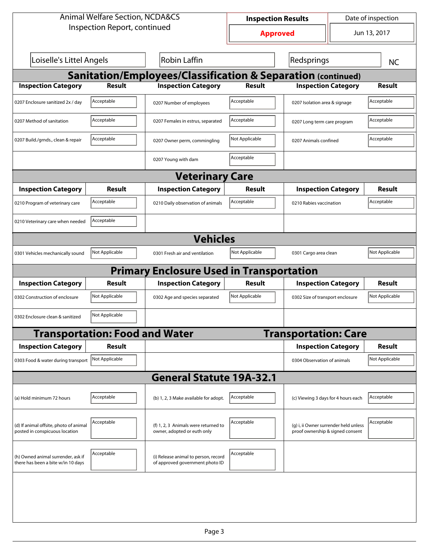| <b>Animal Welfare Section, NCDA&amp;CS</b>                               |                                       |                                                                         | <b>Inspection Results</b> |                                                                           | Date of inspection |                |  |  |  |
|--------------------------------------------------------------------------|---------------------------------------|-------------------------------------------------------------------------|---------------------------|---------------------------------------------------------------------------|--------------------|----------------|--|--|--|
| Inspection Report, continued                                             |                                       |                                                                         |                           | Jun 13, 2017<br><b>Approved</b>                                           |                    |                |  |  |  |
| Loiselle's Littel Angels                                                 |                                       | Robin Laffin                                                            |                           | Redsprings                                                                |                    | <b>NC</b>      |  |  |  |
| <b>Sanitation/Employees/Classification &amp; Separation (continued)</b>  |                                       |                                                                         |                           |                                                                           |                    |                |  |  |  |
| <b>Inspection Category</b>                                               | <b>Result</b>                         | <b>Inspection Category</b>                                              | <b>Result</b>             | <b>Inspection Category</b>                                                |                    | <b>Result</b>  |  |  |  |
| 0207 Enclosure sanitized 2x / day                                        | Acceptable                            | 0207 Number of employees                                                | Acceptable                | 0207 Isolation area & signage                                             |                    | Acceptable     |  |  |  |
| 0207 Method of sanitation                                                | Acceptable                            | 0207 Females in estrus, separated                                       | Acceptable                | 0207 Long term care program                                               |                    | Acceptable     |  |  |  |
| 0207 Build./grnds., clean & repair                                       | Acceptable                            | 0207 Owner perm, commingling                                            | Not Applicable            | 0207 Animals confined                                                     |                    | Acceptable     |  |  |  |
|                                                                          |                                       | 0207 Young with dam                                                     | Acceptable                |                                                                           |                    |                |  |  |  |
| <b>Veterinary Care</b>                                                   |                                       |                                                                         |                           |                                                                           |                    |                |  |  |  |
| <b>Inspection Category</b>                                               | Result                                | <b>Inspection Category</b>                                              | Result                    | <b>Inspection Category</b>                                                |                    | Result         |  |  |  |
| 0210 Program of veterinary care                                          | Acceptable                            | 0210 Daily observation of animals                                       | Acceptable                | 0210 Rabies vaccination                                                   |                    | Acceptable     |  |  |  |
| 0210 Veterinary care when needed                                         | Acceptable                            |                                                                         |                           |                                                                           |                    |                |  |  |  |
|                                                                          |                                       | <b>Vehicles</b>                                                         |                           |                                                                           |                    |                |  |  |  |
| 0301 Vehicles mechanically sound                                         | Not Applicable                        | 0301 Fresh air and ventilation                                          | Not Applicable            | 0301 Cargo area clean                                                     |                    | Not Applicable |  |  |  |
|                                                                          |                                       | <b>Primary Enclosure Used in Transportation</b>                         |                           |                                                                           |                    |                |  |  |  |
| <b>Inspection Category</b>                                               | Result                                | <b>Inspection Category</b>                                              | Result                    | <b>Inspection Category</b>                                                |                    | Result         |  |  |  |
| 0302 Construction of enclosure                                           | Not Applicable                        | 0302 Age and species separated                                          | Not Applicable            | 0302 Size of transport enclosure                                          |                    | Not Applicable |  |  |  |
| 0302 Enclosure clean & sanitized                                         | Not Applicable                        |                                                                         |                           |                                                                           |                    |                |  |  |  |
|                                                                          | <b>Transportation: Food and Water</b> |                                                                         |                           | <b>Transportation: Care</b>                                               |                    |                |  |  |  |
| <b>Inspection Category</b>                                               | <b>Result</b>                         |                                                                         |                           | <b>Inspection Category</b>                                                |                    | Result         |  |  |  |
| 0303 Food & water during transport Not Applicable                        |                                       |                                                                         |                           | 0304 Observation of animals                                               |                    | Not Applicable |  |  |  |
|                                                                          |                                       | <b>General Statute 19A-32.1</b>                                         |                           |                                                                           |                    |                |  |  |  |
| (a) Hold minimum 72 hours                                                | Acceptable                            | (b) 1, 2, 3 Make available for adopt.                                   | Acceptable                | (c) Viewing 3 days for 4 hours each                                       |                    | Acceptable     |  |  |  |
| (d) If animal offsite, photo of animal<br>posted in conspicuous location | Acceptable                            | (f) 1, 2, 3 Animals were returned to<br>owner, adopted or euth only     | Acceptable                | (g) i, ii Owner surrender held unless<br>proof ownership & signed consent |                    | Acceptable     |  |  |  |
| (h) Owned animal surrender, ask if<br>there has been a bite w/in 10 days | Acceptable                            | (i) Release animal to person, record<br>of approved government photo ID | Acceptable                |                                                                           |                    |                |  |  |  |
|                                                                          |                                       |                                                                         |                           |                                                                           |                    |                |  |  |  |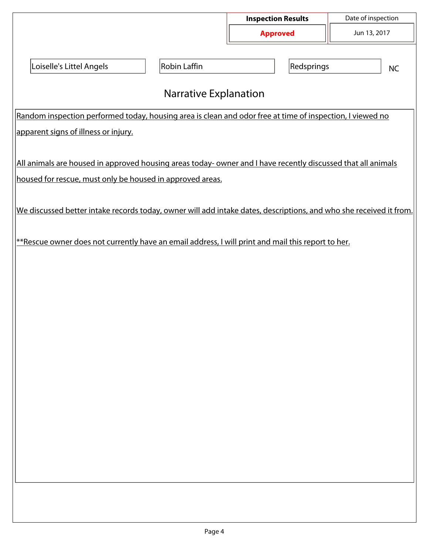|                                                                                                                    |              | <b>Inspection Results</b> | Date of inspection |  |  |  |  |  |  |
|--------------------------------------------------------------------------------------------------------------------|--------------|---------------------------|--------------------|--|--|--|--|--|--|
|                                                                                                                    |              | <b>Approved</b>           | Jun 13, 2017       |  |  |  |  |  |  |
| Loiselle's Littel Angels                                                                                           | Robin Laffin | Redsprings                | <b>NC</b>          |  |  |  |  |  |  |
| <b>Narrative Explanation</b>                                                                                       |              |                           |                    |  |  |  |  |  |  |
| Random inspection performed today, housing area is clean and odor free at time of inspection, I viewed no          |              |                           |                    |  |  |  |  |  |  |
| apparent signs of illness or injury.                                                                               |              |                           |                    |  |  |  |  |  |  |
|                                                                                                                    |              |                           |                    |  |  |  |  |  |  |
| All animals are housed in approved housing areas today-owner and I have recently discussed that all animals        |              |                           |                    |  |  |  |  |  |  |
| housed for rescue, must only be housed in approved areas.                                                          |              |                           |                    |  |  |  |  |  |  |
|                                                                                                                    |              |                           |                    |  |  |  |  |  |  |
| We discussed better intake records today, owner will add intake dates, descriptions, and who she received it from. |              |                           |                    |  |  |  |  |  |  |
|                                                                                                                    |              |                           |                    |  |  |  |  |  |  |
| **Rescue owner does not currently have an email address, I will print and mail this report to her.                 |              |                           |                    |  |  |  |  |  |  |
|                                                                                                                    |              |                           |                    |  |  |  |  |  |  |
|                                                                                                                    |              |                           |                    |  |  |  |  |  |  |
|                                                                                                                    |              |                           |                    |  |  |  |  |  |  |
|                                                                                                                    |              |                           |                    |  |  |  |  |  |  |
|                                                                                                                    |              |                           |                    |  |  |  |  |  |  |
|                                                                                                                    |              |                           |                    |  |  |  |  |  |  |
|                                                                                                                    |              |                           |                    |  |  |  |  |  |  |
|                                                                                                                    |              |                           |                    |  |  |  |  |  |  |
|                                                                                                                    |              |                           |                    |  |  |  |  |  |  |
|                                                                                                                    |              |                           |                    |  |  |  |  |  |  |
|                                                                                                                    |              |                           |                    |  |  |  |  |  |  |
|                                                                                                                    |              |                           |                    |  |  |  |  |  |  |
|                                                                                                                    |              |                           |                    |  |  |  |  |  |  |
|                                                                                                                    |              |                           |                    |  |  |  |  |  |  |
|                                                                                                                    |              |                           |                    |  |  |  |  |  |  |
|                                                                                                                    |              |                           |                    |  |  |  |  |  |  |